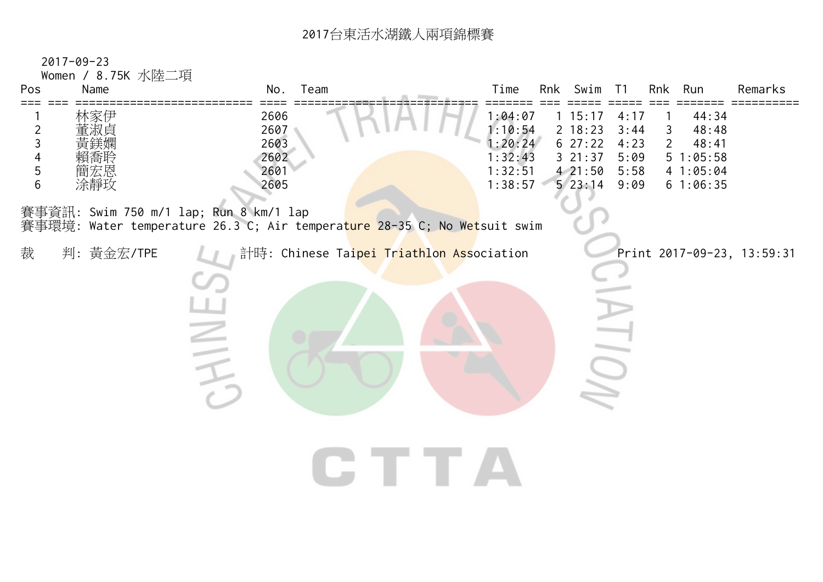## <sup>2017</sup>台東活水湖鐵人兩項錦標賽

| $2017 - 09 - 23$<br>Women / 8.75K 水陸二項<br>Pos<br>Name                                                                                                        | Team<br>No.                                                                                                              | Time<br>Swim<br>Rnk Run<br>Remarks<br>Rnk<br>T1                                                                                                                                                                                                                                       |
|--------------------------------------------------------------------------------------------------------------------------------------------------------------|--------------------------------------------------------------------------------------------------------------------------|---------------------------------------------------------------------------------------------------------------------------------------------------------------------------------------------------------------------------------------------------------------------------------------|
| 林家伊<br>$\overline{c}$<br>董淑貞<br>$\mathsf{3}$<br>更缺姻<br>$\overline{4}$<br>賴喬联<br>5<br>簡宏恩<br>$6\phantom{1}6$<br>涂靜玫<br>賽事資訊: Swim 750 m/1 lap; Run 8 km/1 lap | 2606<br>2607<br>2603<br>2602<br>2601<br>2605<br>賽事環境: Water temperature 26.3 C; Air temperature 28-35 C; No Wetsuit swim | 1:04:07<br>1 15:17<br>4:17<br>44:34<br>$\overline{1}$<br>1:10:54<br>2 18:23<br>3:44<br>3<br>48:48<br>1:20:24<br>627:22<br>$\overline{2}$<br>4:23<br>48:41<br>1:32:43<br>321:37<br>5:09<br>51:05:58<br>1:32:51<br>421:50<br>5:58<br>4 1:05:04<br>523:14<br>1:38:57<br>9:09<br>61:06:35 |
| 裁<br>判: 黃金宏/TPE                                                                                                                                              | 計時: Chinese Taipei Triathlon Association<br>$\geq$                                                                       | Print 2017-09-23, 13:59:31<br>J<br>TTTA                                                                                                                                                                                                                                               |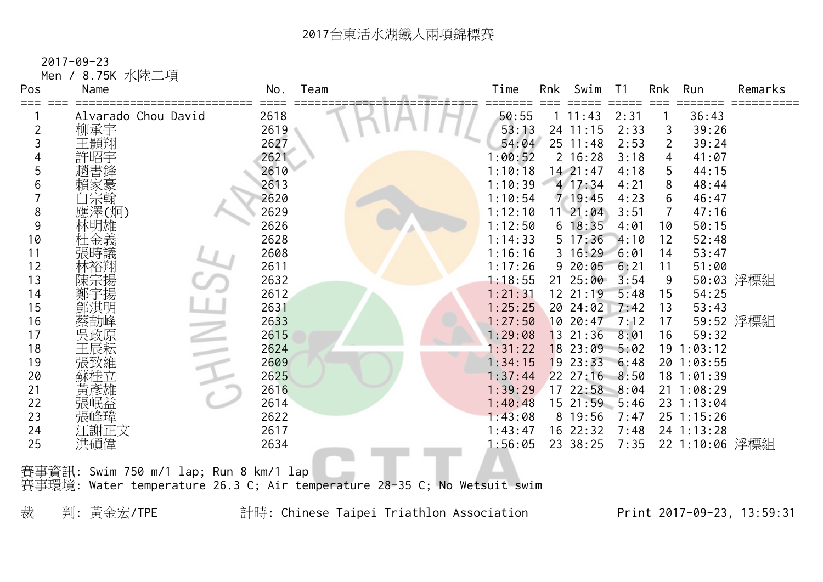2017-09-23

 Men / 8.75K 水陸二項 Pos Name No. Team Time Rnk Swim T1 Rnk Run Remarks === === ========================== ==== =========================== ======= === ===== ===== === ======= ========== 1 Alvarado Chou David 2618 2008 2018 1 50:55 1 11:43 2:31 1 36:43 柳承宇 2619 53:13 24 11:15 2:33 3 39:26 王顥翔 2627 54:04 25 11:48 2:53 2 39:24 許昭宇 2621 1:00:52 2 16:28 3:18 4 41:07 趙書鋒 2610 1:10:18 14 21:47 4:18 5 44:15 賴家豪 2613 1:10:39 4 17:34 4:21 8 48:44 白宗翰 2620 1:10:54 7 19:45 4:23 6 46:47 應澤(炯) 2629 1:12:10 11 21:04 3:51 7 47:16 林明雄 2626 1:12:50 6 18:35 4:01 10 50:15 杜金義 2628 1:14:33 5 17:36 4:10 12 52:48 張時議 2608 1:16:16 3 16:29 6:01 14 53:47 林裕翔 2611 1:17:26 9 20:05 6:21 11 51:00 陳宗揚 2632 1:18:55 21 25:00 3:54 9 50:03 浮標組 鄭宇揚 2612 1:21:31 12 21:19 5:48 15 54:25 鄧淇明 2631 1:25:25 20 24:02 7:42 13 53:43 蔡劼峰 2633 1:27:50 10 20:47 7:12 17 59:52 浮標組 吳政原 2615 1:29:08 13 21:36 8:01 16 59:32 王辰耘 2624 1:31:22 18 23:09 5:02 19 1:03:12 張致維 2609 1:34:15 19 23:33 6:48 20 1:03:55 蘇桂立 2625 1:37:44 22 27:16 8:50 18 1:01:39 21 黃彥雄 2616 2616 2616 2616 2616 2617 22:58 8:04 21 1:08:29 張岷益 2614 1:40:48 15 21:59 5:46 23 1:13:04 張峰瑋 2622 1:43:08 8 19:56 7:47 25 1:15:26 江謝正文 2617 1:43:47 16 22:32 7:48 24 1:13:28 洪碩偉 2634 1:56:05 23 38:25 7:35 22 1:10:06 浮標組

賽事資訊: Swim 750 m/1 lap; Run 8 km/1 lap 賽事環境: Water temperature 26.3 C; Air temperature 28-35 C; No Wetsuit swim

裁 判: 黃金宏/TPE 計時: Chinese Taipei Triathlon Association Print 2017-09-23, 13:59:31